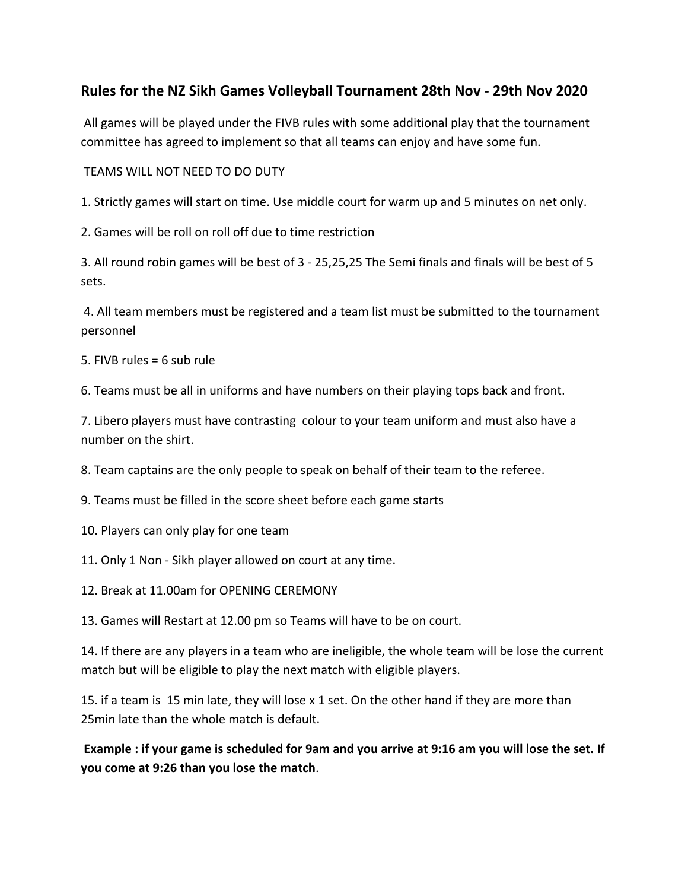## **Rules for the NZ Sikh Games Volleyball Tournament 28th Nov - 29th Nov 2020**

All games will be played under the FIVB rules with some additional play that the tournament committee has agreed to implement so that all teams can enjoy and have some fun.

TEAMS WILL NOT NEED TO DO DUTY

1. Strictly games will start on time. Use middle court for warm up and 5 minutes on net only.

2. Games will be roll on roll off due to time restriction

3. All round robin games will be best of 3 - 25,25,25 The Semi finals and finals will be best of 5 sets.

4. All team members must be registered and a team list must be submitted to the tournament personnel

5. FIVB rules = 6 sub rule

6. Teams must be all in uniforms and have numbers on their playing tops back and front.

7. Libero players must have contrasting colour to your team uniform and must also have a number on the shirt.

8. Team captains are the only people to speak on behalf of their team to the referee.

9. Teams must be filled in the score sheet before each game starts

10. Players can only play for one team

11. Only 1 Non - Sikh player allowed on court at any time.

12. Break at 11.00am for OPENING CEREMONY

13. Games will Restart at 12.00 pm so Teams will have to be on court.

14. If there are any players in a team who are ineligible, the whole team will be lose the current match but will be eligible to play the next match with eligible players.

15. if a team is 15 min late, they will lose x 1 set. On the other hand if they are more than 25min late than the whole match is default.

**Example : if your game is scheduled for 9am and you arrive at 9:16 am you will lose the set. If you come at 9:26 than you lose the match**.